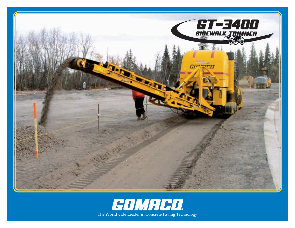